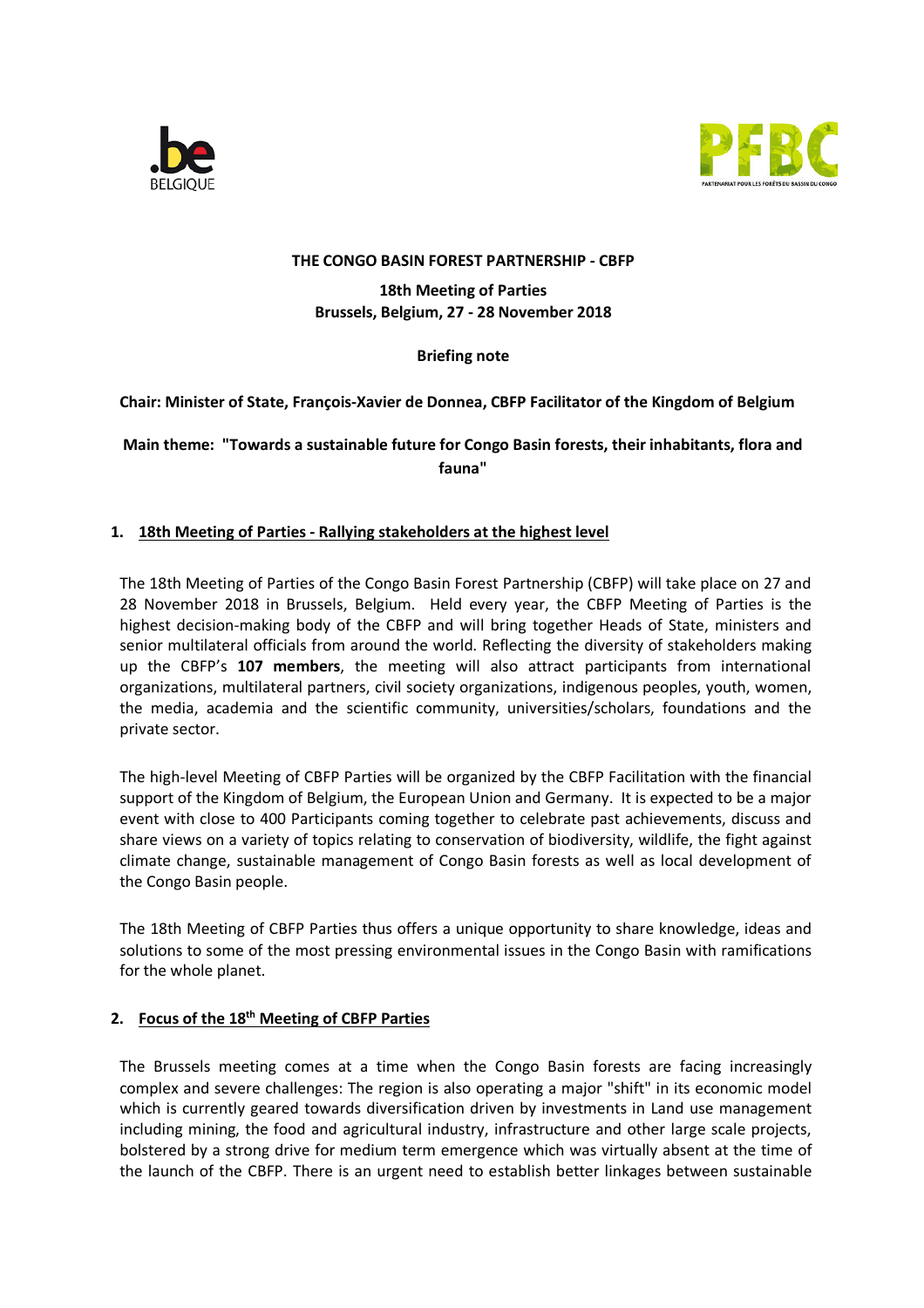



#### **THE CONGO BASIN FOREST PARTNERSHIP - CBFP**

**18th Meeting of Parties Brussels, Belgium, 27 - 28 November 2018** 

### **Briefing note**

**Chair: Minister of State, François-Xavier de Donnea, CBFP Facilitator of the Kingdom of Belgium**

# **Main theme: "Towards a sustainable future for Congo Basin forests, their inhabitants, flora and fauna"**

### **1. 18th Meeting of Parties - Rallying stakeholders at the highest level**

The 18th Meeting of Parties of the Congo Basin Forest Partnership (CBFP) will take place on 27 and 28 November 2018 in Brussels, Belgium. Held every year, the CBFP Meeting of Parties is the highest decision-making body of the CBFP and will bring together Heads of State, ministers and senior multilateral officials from around the world. Reflecting the diversity of stakeholders making up the CBFP's **107 members**, the meeting will also attract participants from international organizations, multilateral partners, civil society organizations, indigenous peoples, youth, women, the media, academia and the scientific community, universities/scholars, foundations and the private sector.

The high-level Meeting of CBFP Parties will be organized by the CBFP Facilitation with the financial support of the Kingdom of Belgium, the European Union and Germany. It is expected to be a major event with close to 400 Participants coming together to celebrate past achievements, discuss and share views on a variety of topics relating to conservation of biodiversity, wildlife, the fight against climate change, sustainable management of Congo Basin forests as well as local development of the Congo Basin people.

The 18th Meeting of CBFP Parties thus offers a unique opportunity to share knowledge, ideas and solutions to some of the most pressing environmental issues in the Congo Basin with ramifications for the whole planet.

# **2. Focus of the 18th Meeting of CBFP Parties**

The Brussels meeting comes at a time when the Congo Basin forests are facing increasingly complex and severe challenges: The region is also operating a major "shift" in its economic model which is currently geared towards diversification driven by investments in Land use management including mining, the food and agricultural industry, infrastructure and other large scale projects, bolstered by a strong drive for medium term emergence which was virtually absent at the time of the launch of the CBFP. There is an urgent need to establish better linkages between sustainable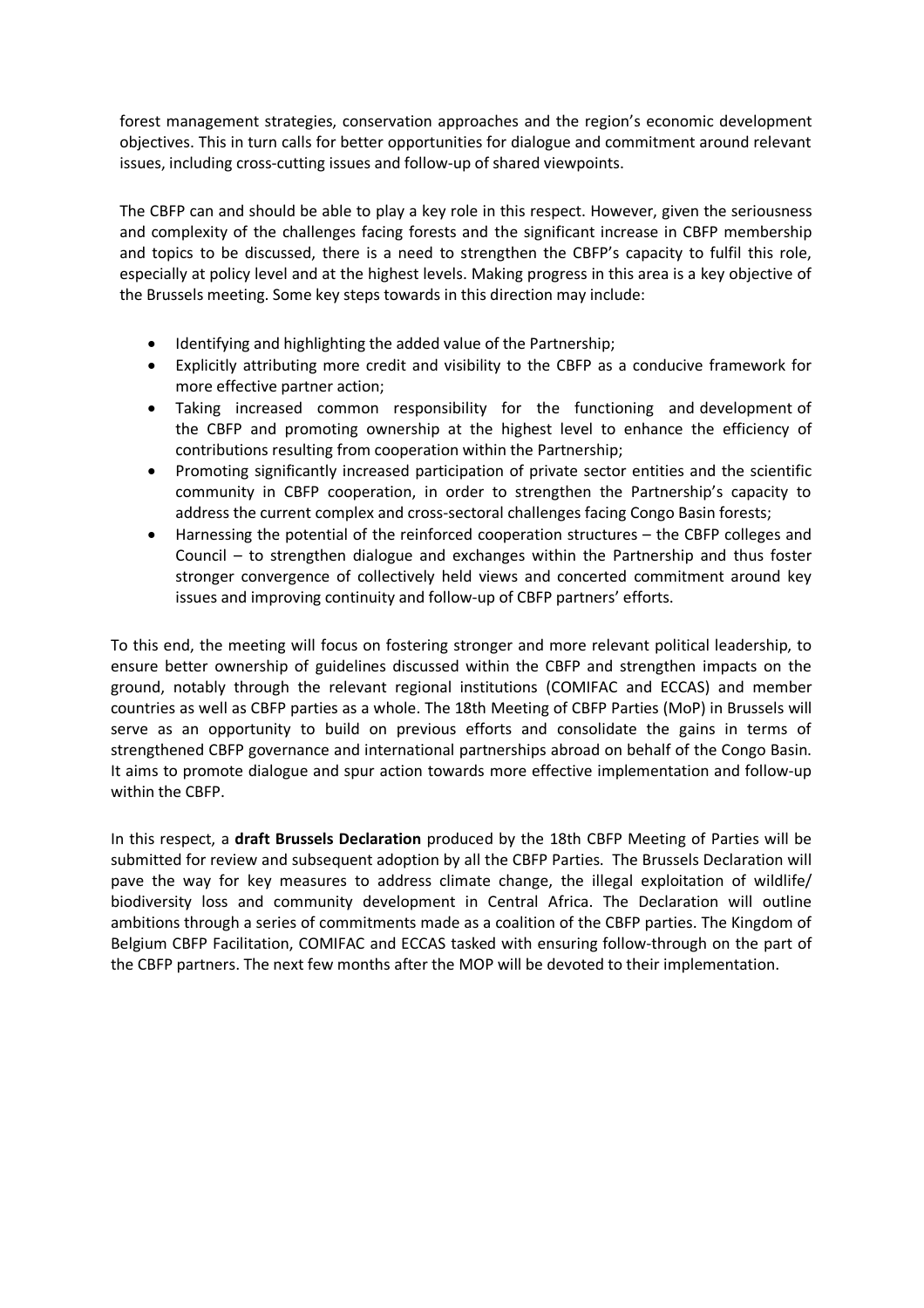forest management strategies, conservation approaches and the region's economic development objectives. This in turn calls for better opportunities for dialogue and commitment around relevant issues, including cross-cutting issues and follow-up of shared viewpoints.

The CBFP can and should be able to play a key role in this respect. However, given the seriousness and complexity of the challenges facing forests and the significant increase in CBFP membership and topics to be discussed, there is a need to strengthen the CBFP's capacity to fulfil this role, especially at policy level and at the highest levels. Making progress in this area is a key objective of the Brussels meeting. Some key steps towards in this direction may include:

- Identifying and highlighting the added value of the Partnership;
- Explicitly attributing more credit and visibility to the CBFP as a conducive framework for more effective partner action;
- Taking increased common responsibility for the functioning and development of the CBFP and promoting ownership at the highest level to enhance the efficiency of contributions resulting from cooperation within the Partnership;
- Promoting significantly increased participation of private sector entities and the scientific community in CBFP cooperation, in order to strengthen the Partnership's capacity to address the current complex and cross-sectoral challenges facing Congo Basin forests;
- Harnessing the potential of the reinforced cooperation structures the CBFP colleges and Council – to strengthen dialogue and exchanges within the Partnership and thus foster stronger convergence of collectively held views and concerted commitment around key issues and improving continuity and follow-up of CBFP partners' efforts.

To this end, the meeting will focus on fostering stronger and more relevant political leadership, to ensure better ownership of guidelines discussed within the CBFP and strengthen impacts on the ground, notably through the relevant regional institutions (COMIFAC and ECCAS) and member countries as well as CBFP parties as a whole. The 18th Meeting of CBFP Parties (MoP) in Brussels will serve as an opportunity to build on previous efforts and consolidate the gains in terms of strengthened CBFP governance and international partnerships abroad on behalf of the Congo Basin. It aims to promote dialogue and spur action towards more effective implementation and follow-up within the CBFP.

In this respect, a **draft Brussels Declaration** produced by the 18th CBFP Meeting of Parties will be submitted for review and subsequent adoption by all the CBFP Parties. The Brussels Declaration will pave the way for key measures to address climate change, the illegal exploitation of wildlife/ biodiversity loss and community development in Central Africa. The Declaration will outline ambitions through a series of commitments made as a coalition of the CBFP parties. The Kingdom of Belgium CBFP Facilitation, COMIFAC and ECCAS tasked with ensuring follow-through on the part of the CBFP partners. The next few months after the MOP will be devoted to their implementation.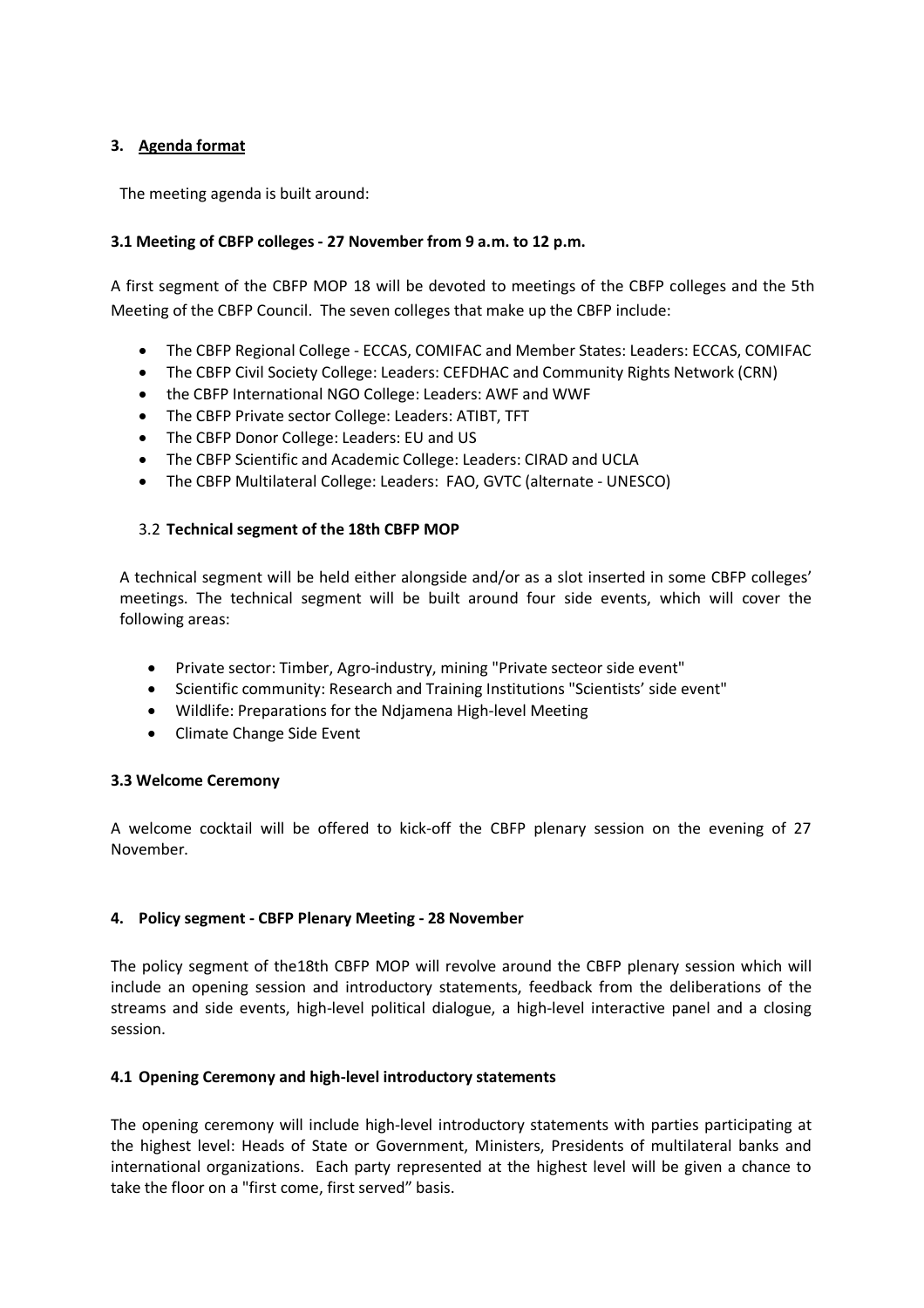# **3. Agenda format**

The meeting agenda is built around:

### **3.1 Meeting of CBFP colleges - 27 November from 9 a.m. to 12 p.m.**

A first segment of the CBFP MOP 18 will be devoted to meetings of the CBFP colleges and the 5th Meeting of the CBFP Council. The seven colleges that make up the CBFP include:

- The CBFP Regional College ECCAS, COMIFAC and Member States: Leaders: ECCAS, COMIFAC
- The CBFP Civil Society College: Leaders: CEFDHAC and Community Rights Network (CRN)
- the CBFP International NGO College: Leaders: AWF and WWF
- The CBFP Private sector College: Leaders: ATIBT, TFT
- The CBFP Donor College: Leaders: EU and US
- The CBFP Scientific and Academic College: Leaders: CIRAD and UCLA
- The CBFP Multilateral College: Leaders: FAO, GVTC (alternate UNESCO)

#### 3.2 **Technical segment of the 18th CBFP MOP**

A technical segment will be held either alongside and/or as a slot inserted in some CBFP colleges' meetings. The technical segment will be built around four side events, which will cover the following areas:

- Private sector: Timber, Agro-industry, mining "Private secteor side event"
- Scientific community: Research and Training Institutions "Scientists' side event"
- Wildlife: Preparations for the Ndjamena High-level Meeting
- Climate Change Side Event

#### **3.3 Welcome Ceremony**

A welcome cocktail will be offered to kick-off the CBFP plenary session on the evening of 27 November.

#### **4. Policy segment - CBFP Plenary Meeting - 28 November**

The policy segment of the18th CBFP MOP will revolve around the CBFP plenary session which will include an opening session and introductory statements, feedback from the deliberations of the streams and side events, high-level political dialogue, a high-level interactive panel and a closing session.

#### **4.1 Opening Ceremony and high-level introductory statements**

The opening ceremony will include high-level introductory statements with parties participating at the highest level: Heads of State or Government, Ministers, Presidents of multilateral banks and international organizations. Each party represented at the highest level will be given a chance to take the floor on a "first come, first served" basis.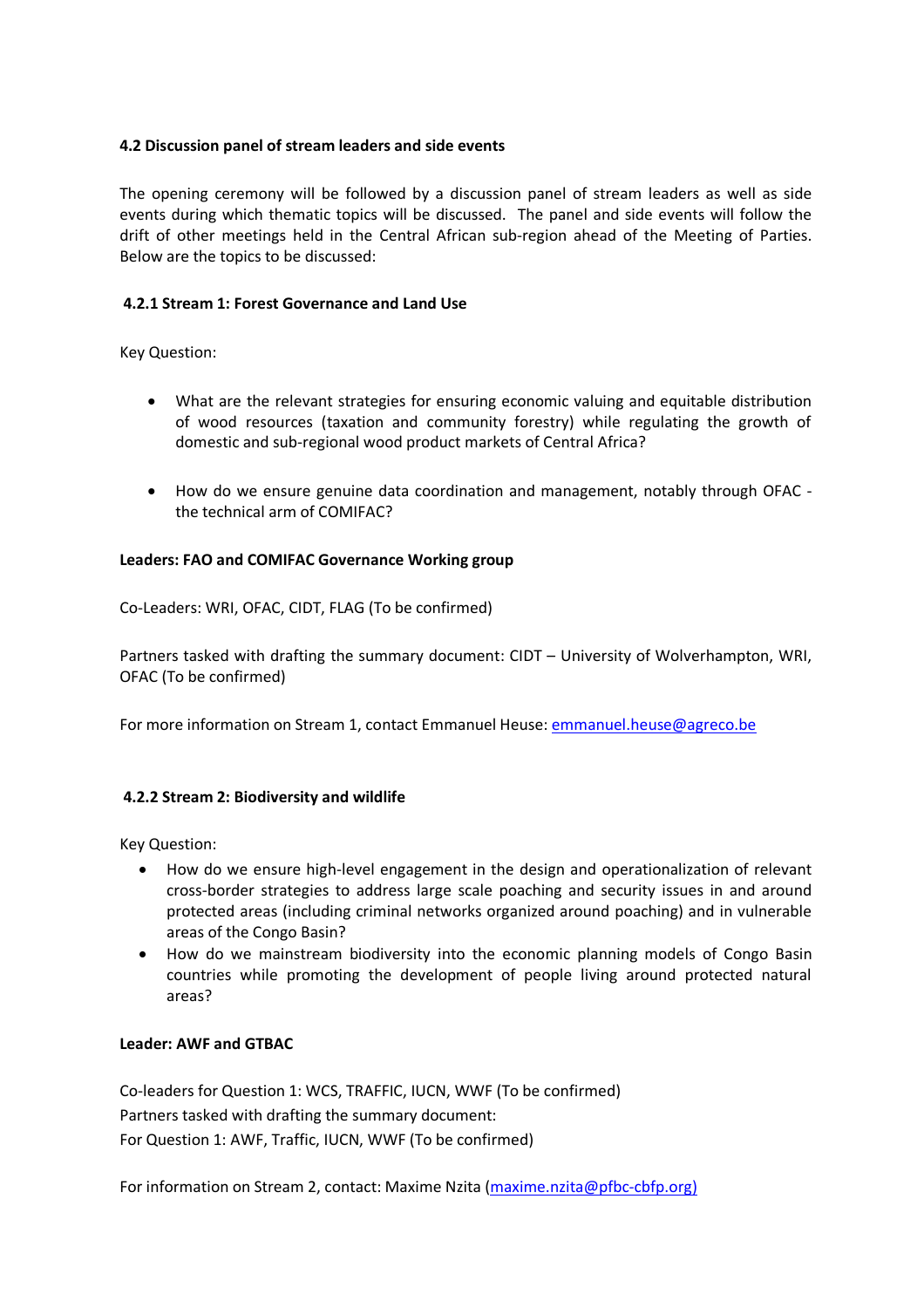### **4.2 Discussion panel of stream leaders and side events**

The opening ceremony will be followed by a discussion panel of stream leaders as well as side events during which thematic topics will be discussed. The panel and side events will follow the drift of other meetings held in the Central African sub-region ahead of the Meeting of Parties. Below are the topics to be discussed:

### **4.2.1 Stream 1: Forest Governance and Land Use**

Key Question:

- What are the relevant strategies for ensuring economic valuing and equitable distribution of wood resources (taxation and community forestry) while regulating the growth of domestic and sub-regional wood product markets of Central Africa?
- How do we ensure genuine data coordination and management, notably through OFAC the technical arm of COMIFAC?

#### **Leaders: FAO and COMIFAC Governance Working group**

Co-Leaders: WRI, OFAC, CIDT, FLAG (To be confirmed)

Partners tasked with drafting the summary document: CIDT – University of Wolverhampton, WRI, OFAC (To be confirmed)

For more information on Stream 1, contact Emmanuel Heuse: emmanuel.heuse@agreco.be

#### **4.2.2 Stream 2: Biodiversity and wildlife**

Key Question:

- How do we ensure high-level engagement in the design and operationalization of relevant cross-border strategies to address large scale poaching and security issues in and around protected areas (including criminal networks organized around poaching) and in vulnerable areas of the Congo Basin?
- How do we mainstream biodiversity into the economic planning models of Congo Basin countries while promoting the development of people living around protected natural areas?

#### **Leader: AWF and GTBAC**

Co-leaders for Question 1: WCS, TRAFFIC, IUCN, WWF (To be confirmed) Partners tasked with drafting the summary document: For Question 1: AWF, Traffic, IUCN, WWF (To be confirmed)

For information on Stream 2, contact: Maxime Nzita (maxime.nzita@pfbc-cbfp.org)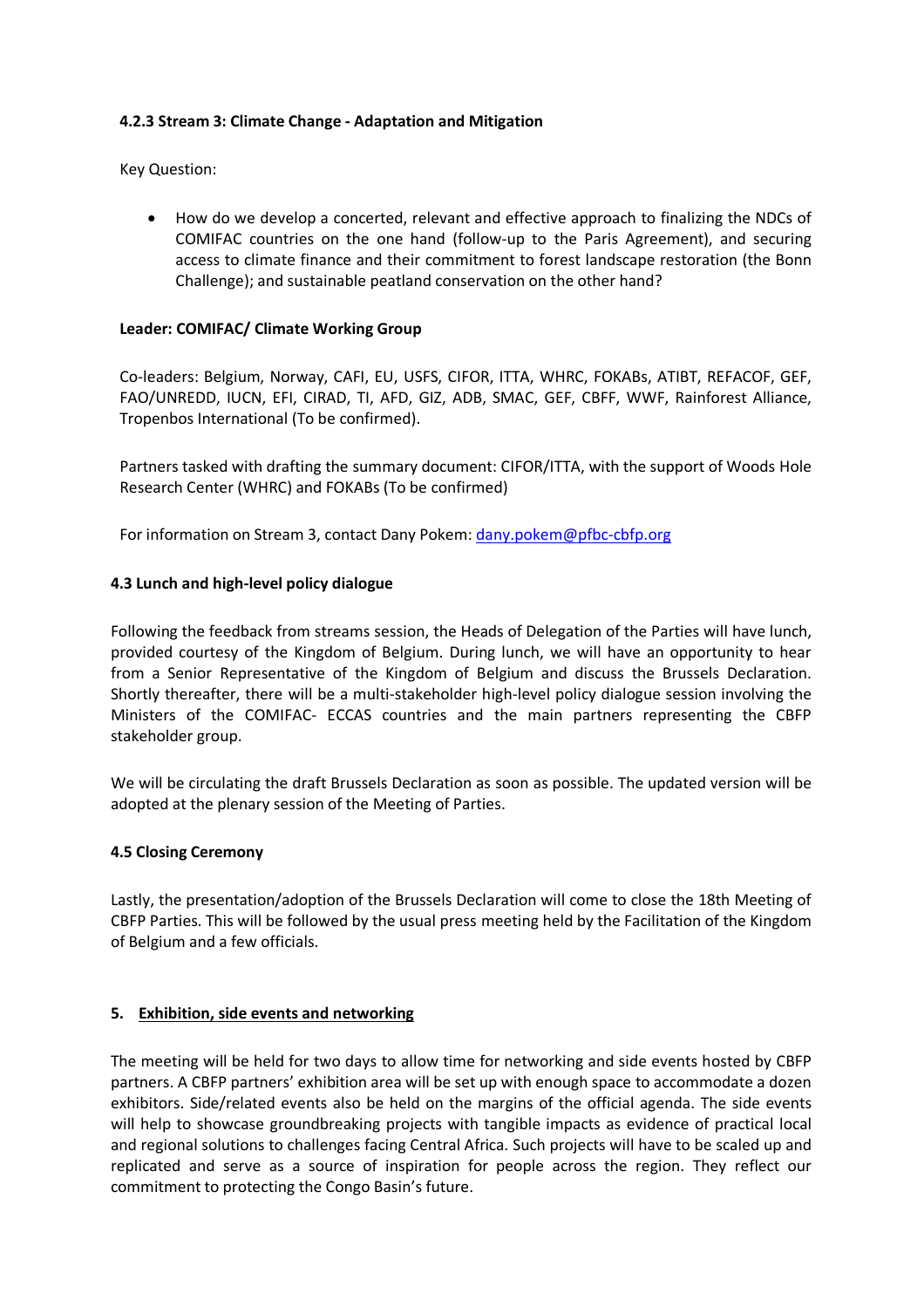# **4.2.3 Stream 3: Climate Change - Adaptation and Mitigation**

Key Question:

• How do we develop a concerted, relevant and effective approach to finalizing the NDCs of COMIFAC countries on the one hand (follow-up to the Paris Agreement), and securing access to climate finance and their commitment to forest landscape restoration (the Bonn Challenge); and sustainable peatland conservation on the other hand?

#### **Leader: COMIFAC/ Climate Working Group**

Co-leaders: Belgium, Norway, CAFI, EU, USFS, CIFOR, ITTA, WHRC, FOKABs, ATIBT, REFACOF, GEF, FAO/UNREDD, IUCN, EFI, CIRAD, TI, AFD, GIZ, ADB, SMAC, GEF, CBFF, WWF, Rainforest Alliance, Tropenbos International (To be confirmed).

Partners tasked with drafting the summary document: CIFOR/ITTA, with the support of Woods Hole Research Center (WHRC) and FOKABs (To be confirmed)

For information on Stream 3, contact Dany Pokem: dany.pokem@pfbc-cbfp.org

### **4.3 Lunch and high-level policy dialogue**

Following the feedback from streams session, the Heads of Delegation of the Parties will have lunch, provided courtesy of the Kingdom of Belgium. During lunch, we will have an opportunity to hear from a Senior Representative of the Kingdom of Belgium and discuss the Brussels Declaration. Shortly thereafter, there will be a multi-stakeholder high-level policy dialogue session involving the Ministers of the COMIFAC- ECCAS countries and the main partners representing the CBFP stakeholder group.

We will be circulating the draft Brussels Declaration as soon as possible. The updated version will be adopted at the plenary session of the Meeting of Parties.

#### **4.5 Closing Ceremony**

Lastly, the presentation/adoption of the Brussels Declaration will come to close the 18th Meeting of CBFP Parties. This will be followed by the usual press meeting held by the Facilitation of the Kingdom of Belgium and a few officials.

#### **5. Exhibition, side events and networking**

The meeting will be held for two days to allow time for networking and side events hosted by CBFP partners. A CBFP partners' exhibition area will be set up with enough space to accommodate a dozen exhibitors. Side/related events also be held on the margins of the official agenda. The side events will help to showcase groundbreaking projects with tangible impacts as evidence of practical local and regional solutions to challenges facing Central Africa. Such projects will have to be scaled up and replicated and serve as a source of inspiration for people across the region. They reflect our commitment to protecting the Congo Basin's future.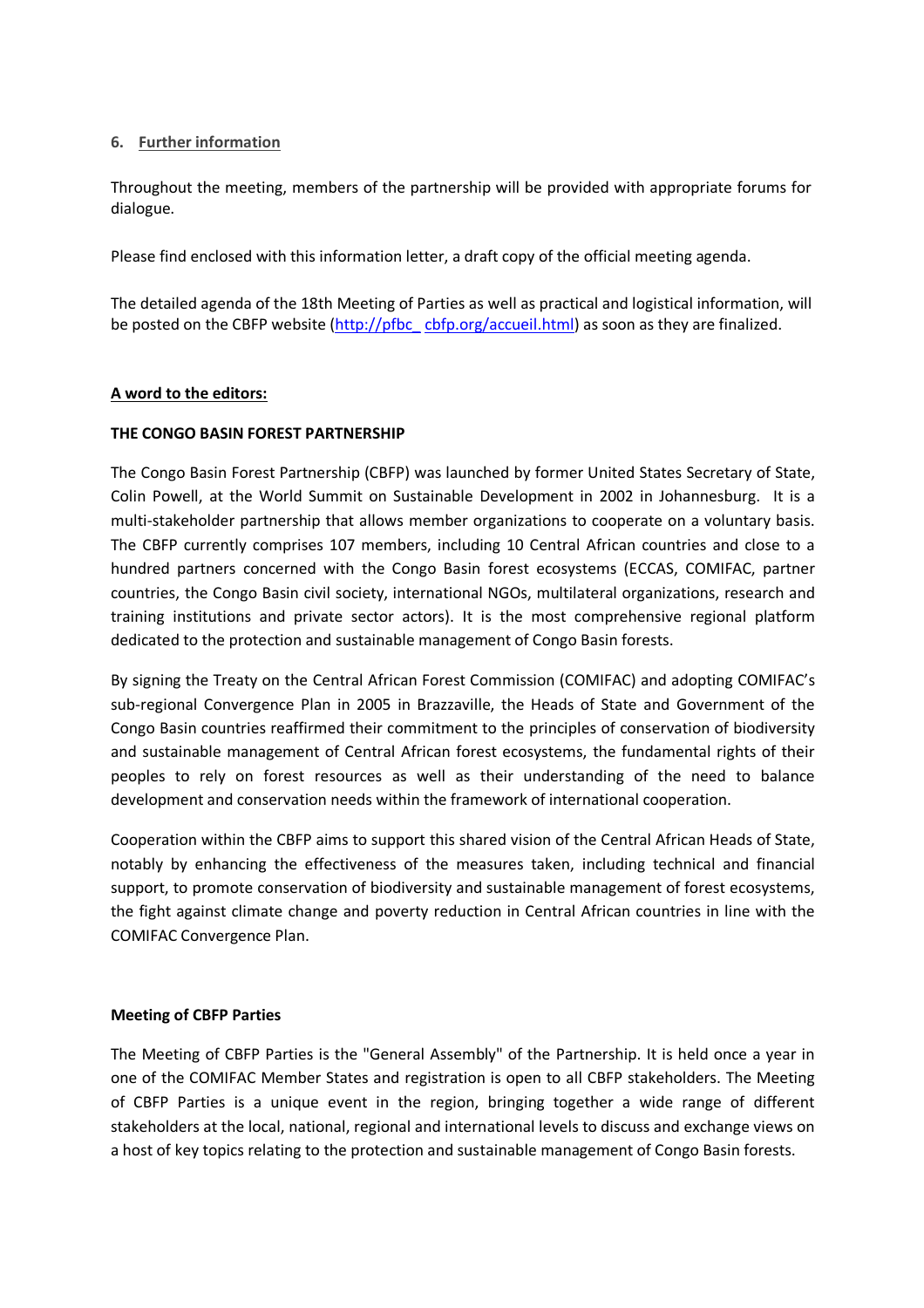#### **6. Further information**

Throughout the meeting, members of the partnership will be provided with appropriate forums for dialogue.

Please find enclosed with this information letter, a draft copy of the official meeting agenda.

The detailed agenda of the 18th Meeting of Parties as well as practical and logistical information, will be posted on the CBFP website (http://pfbc\_cbfp.org/accueil.html) as soon as they are finalized.

### **A word to the editors:**

### **THE CONGO BASIN FOREST PARTNERSHIP**

The Congo Basin Forest Partnership (CBFP) was launched by former United States Secretary of State, Colin Powell, at the World Summit on Sustainable Development in 2002 in Johannesburg. It is a multi-stakeholder partnership that allows member organizations to cooperate on a voluntary basis. The CBFP currently comprises 107 members, including 10 Central African countries and close to a hundred partners concerned with the Congo Basin forest ecosystems (ECCAS, COMIFAC, partner countries, the Congo Basin civil society, international NGOs, multilateral organizations, research and training institutions and private sector actors). It is the most comprehensive regional platform dedicated to the protection and sustainable management of Congo Basin forests.

By signing the Treaty on the Central African Forest Commission (COMIFAC) and adopting COMIFAC's sub-regional Convergence Plan in 2005 in Brazzaville, the Heads of State and Government of the Congo Basin countries reaffirmed their commitment to the principles of conservation of biodiversity and sustainable management of Central African forest ecosystems, the fundamental rights of their peoples to rely on forest resources as well as their understanding of the need to balance development and conservation needs within the framework of international cooperation.

Cooperation within the CBFP aims to support this shared vision of the Central African Heads of State, notably by enhancing the effectiveness of the measures taken, including technical and financial support, to promote conservation of biodiversity and sustainable management of forest ecosystems, the fight against climate change and poverty reduction in Central African countries in line with the COMIFAC Convergence Plan.

#### **Meeting of CBFP Parties**

The Meeting of CBFP Parties is the "General Assembly" of the Partnership. It is held once a year in one of the COMIFAC Member States and registration is open to all CBFP stakeholders. The Meeting of CBFP Parties is a unique event in the region, bringing together a wide range of different stakeholders at the local, national, regional and international levels to discuss and exchange views on a host of key topics relating to the protection and sustainable management of Congo Basin forests.